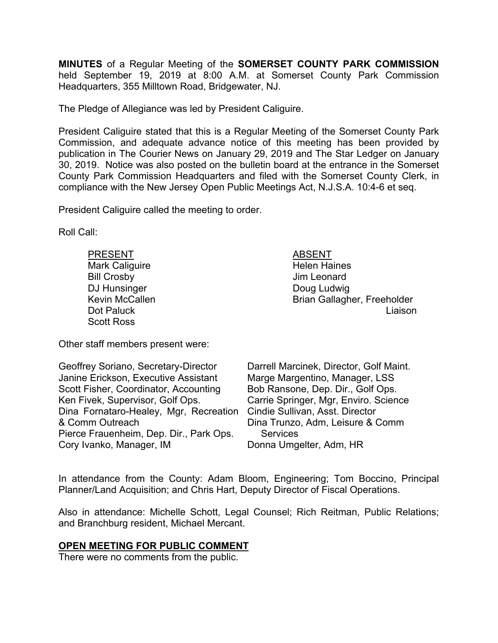**MINUTES** of a Regular Meeting of the **SOMERSET COUNTY PARK COMMISSION** held September 19, 2019 at 8:00 A.M. at Somerset County Park Commission Headquarters, 355 Milltown Road, Bridgewater, NJ.

The Pledge of Allegiance was led by President Caliguire.

President Caliguire stated that this is a Regular Meeting of the Somerset County Park Commission, and adequate advance notice of this meeting has been provided by publication in The Courier News on January 29, 2019 and The Star Ledger on January 30, 2019. Notice was also posted on the bulletin board at the entrance in the Somerset County Park Commission Headquarters and filed with the Somerset County Clerk, in compliance with the New Jersey Open Public Meetings Act, N.J.S.A. 10:4-6 et seq.

President Caliguire called the meeting to order.

Roll Call:

| <b>PRESENT</b>        | <b>ABSENT</b>               |
|-----------------------|-----------------------------|
| Mark Caliguire        | <b>Helen Haines</b>         |
| <b>Bill Crosby</b>    | Jim Leonard                 |
| DJ Hunsinger          | Doug Ludwig                 |
| <b>Kevin McCallen</b> | Brian Gallagher, Freeholder |
| Dot Paluck            | Liaison                     |
| <b>Scott Ross</b>     |                             |

Other staff members present were:

| Geoffrey Soriano, Secretary-Director    | Darrell Marcinek, Director, Golf Maint. |
|-----------------------------------------|-----------------------------------------|
| Janine Erickson, Executive Assistant    | Marge Margentino, Manager, LSS          |
| Scott Fisher, Coordinator, Accounting   | Bob Ransone, Dep. Dir., Golf Ops.       |
| Ken Fivek, Supervisor, Golf Ops.        | Carrie Springer, Mgr, Enviro. Science   |
| Dina Fornataro-Healey, Mgr, Recreation  | Cindie Sullivan, Asst. Director         |
| & Comm Outreach                         | Dina Trunzo, Adm, Leisure & Comm        |
| Pierce Frauenheim, Dep. Dir., Park Ops. | <b>Services</b>                         |
| Cory Ivanko, Manager, IM                | Donna Umgelter, Adm, HR                 |

In attendance from the County: Adam Bloom, Engineering; Tom Boccino, Principal Planner/Land Acquisition; and Chris Hart, Deputy Director of Fiscal Operations.

Also in attendance: Michelle Schott, Legal Counsel; Rich Reitman, Public Relations; and Branchburg resident, Michael Mercant.

### **OPEN MEETING FOR PUBLIC COMMENT**

There were no comments from the public.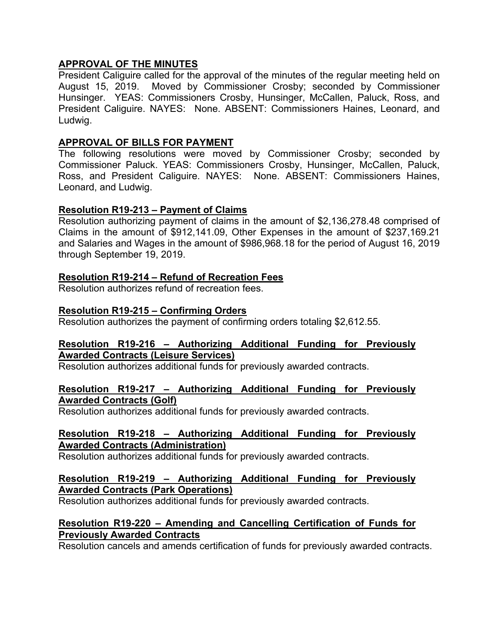# **APPROVAL OF THE MINUTES**

President Caliguire called for the approval of the minutes of the regular meeting held on August 15, 2019. Moved by Commissioner Crosby; seconded by Commissioner Hunsinger. YEAS: Commissioners Crosby, Hunsinger, McCallen, Paluck, Ross, and President Caliguire. NAYES: None. ABSENT: Commissioners Haines, Leonard, and Ludwig.

### **APPROVAL OF BILLS FOR PAYMENT**

The following resolutions were moved by Commissioner Crosby; seconded by Commissioner Paluck. YEAS: Commissioners Crosby, Hunsinger, McCallen, Paluck, Ross, and President Caliguire. NAYES: None. ABSENT: Commissioners Haines, Leonard, and Ludwig.

### **Resolution R19-213 – Payment of Claims**

Resolution authorizing payment of claims in the amount of \$2,136,278.48 comprised of Claims in the amount of \$912,141.09, Other Expenses in the amount of \$237,169.21 and Salaries and Wages in the amount of \$986,968.18 for the period of August 16, 2019 through September 19, 2019.

### **Resolution R19-214 – Refund of Recreation Fees**

Resolution authorizes refund of recreation fees.

# **Resolution R19-215 – Confirming Orders**

Resolution authorizes the payment of confirming orders totaling \$2,612.55.

### **Resolution R19-216 – Authorizing Additional Funding for Previously Awarded Contracts (Leisure Services)**

Resolution authorizes additional funds for previously awarded contracts.

### **Resolution R19-217 – Authorizing Additional Funding for Previously Awarded Contracts (Golf)**

Resolution authorizes additional funds for previously awarded contracts.

### **Resolution R19-218 – Authorizing Additional Funding for Previously Awarded Contracts (Administration)**

Resolution authorizes additional funds for previously awarded contracts.

### **Resolution R19-219 – Authorizing Additional Funding for Previously Awarded Contracts (Park Operations)**

Resolution authorizes additional funds for previously awarded contracts.

### **Resolution R19-220 – Amending and Cancelling Certification of Funds for Previously Awarded Contracts**

Resolution cancels and amends certification of funds for previously awarded contracts.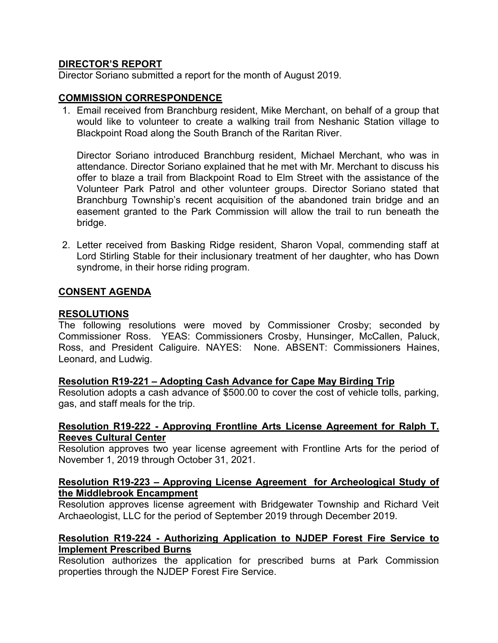# **DIRECTOR'S REPORT**

Director Soriano submitted a report for the month of August 2019.

### **COMMISSION CORRESPONDENCE**

1. Email received from Branchburg resident, Mike Merchant, on behalf of a group that would like to volunteer to create a walking trail from Neshanic Station village to Blackpoint Road along the South Branch of the Raritan River.

Director Soriano introduced Branchburg resident, Michael Merchant, who was in attendance. Director Soriano explained that he met with Mr. Merchant to discuss his offer to blaze a trail from Blackpoint Road to Elm Street with the assistance of the Volunteer Park Patrol and other volunteer groups. Director Soriano stated that Branchburg Township's recent acquisition of the abandoned train bridge and an easement granted to the Park Commission will allow the trail to run beneath the bridge.

2. Letter received from Basking Ridge resident, Sharon Vopal, commending staff at Lord Stirling Stable for their inclusionary treatment of her daughter, who has Down syndrome, in their horse riding program.

### **CONSENT AGENDA**

### **RESOLUTIONS**

The following resolutions were moved by Commissioner Crosby; seconded by Commissioner Ross. YEAS: Commissioners Crosby, Hunsinger, McCallen, Paluck, Ross, and President Caliguire. NAYES: None. ABSENT: Commissioners Haines, Leonard, and Ludwig.

### **Resolution R19-221 – Adopting Cash Advance for Cape May Birding Trip**

Resolution adopts a cash advance of \$500.00 to cover the cost of vehicle tolls, parking, gas, and staff meals for the trip.

# **Resolution R19-222 - Approving Frontline Arts License Agreement for Ralph T. Reeves Cultural Center**

Resolution approves two year license agreement with Frontline Arts for the period of November 1, 2019 through October 31, 2021.

### **Resolution R19-223 – Approving License Agreement for Archeological Study of the Middlebrook Encampment**

Resolution approves license agreement with Bridgewater Township and Richard Veit Archaeologist, LLC for the period of September 2019 through December 2019.

### **Resolution R19-224 - Authorizing Application to NJDEP Forest Fire Service to Implement Prescribed Burns**

Resolution authorizes the application for prescribed burns at Park Commission properties through the NJDEP Forest Fire Service.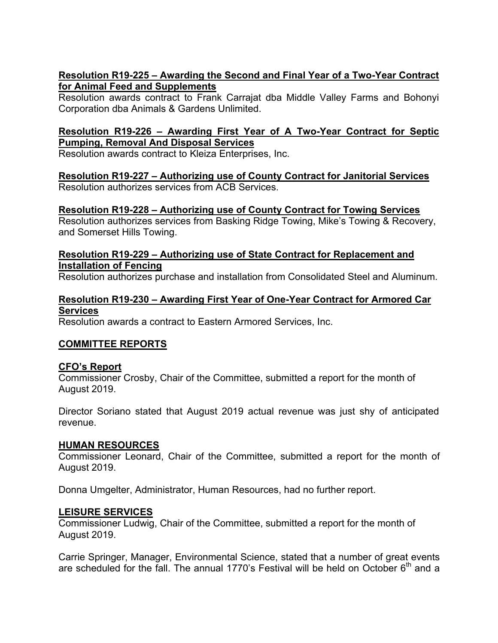# **Resolution R19-225 – Awarding the Second and Final Year of a Two-Year Contract for Animal Feed and Supplements**

Resolution awards contract to Frank Carrajat dba Middle Valley Farms and Bohonyi Corporation dba Animals & Gardens Unlimited.

# **Resolution R19-226 – Awarding First Year of A Two-Year Contract for Septic Pumping, Removal And Disposal Services**

Resolution awards contract to Kleiza Enterprises, Inc.

# **Resolution R19-227 – Authorizing use of County Contract for Janitorial Services**

Resolution authorizes services from ACB Services.

# **Resolution R19-228 – Authorizing use of County Contract for Towing Services**

Resolution authorizes services from Basking Ridge Towing, Mike's Towing & Recovery, and Somerset Hills Towing.

**Resolution R19-229 – Authorizing use of State Contract for Replacement and Installation of Fencing**

Resolution authorizes purchase and installation from Consolidated Steel and Aluminum.

# **Resolution R19-230 – Awarding First Year of One-Year Contract for Armored Car Services**

Resolution awards a contract to Eastern Armored Services, Inc.

# **COMMITTEE REPORTS**

### **CFO's Report**

Commissioner Crosby, Chair of the Committee, submitted a report for the month of August 2019.

Director Soriano stated that August 2019 actual revenue was just shy of anticipated revenue.

### **HUMAN RESOURCES**

Commissioner Leonard, Chair of the Committee, submitted a report for the month of August 2019.

Donna Umgelter, Administrator, Human Resources, had no further report.

### **LEISURE SERVICES**

Commissioner Ludwig, Chair of the Committee, submitted a report for the month of August 2019.

Carrie Springer, Manager, Environmental Science, stated that a number of great events are scheduled for the fall. The annual 1770's Festival will be held on October  $6<sup>th</sup>$  and a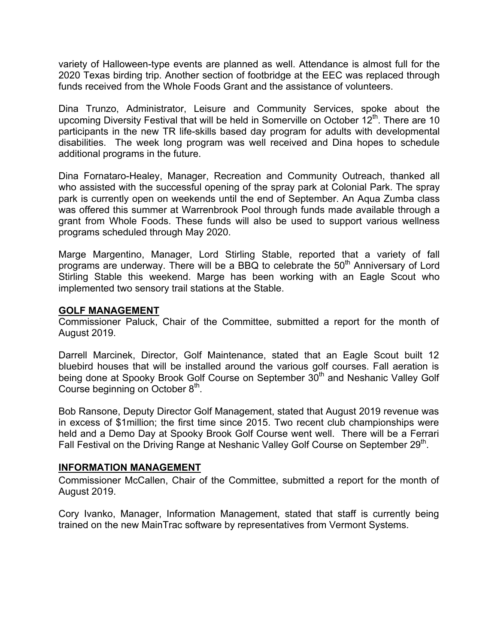variety of Halloween-type events are planned as well. Attendance is almost full for the 2020 Texas birding trip. Another section of footbridge at the EEC was replaced through funds received from the Whole Foods Grant and the assistance of volunteers.

Dina Trunzo, Administrator, Leisure and Community Services, spoke about the upcoming Diversity Festival that will be held in Somerville on October  $12<sup>th</sup>$ . There are 10 participants in the new TR life-skills based day program for adults with developmental disabilities. The week long program was well received and Dina hopes to schedule additional programs in the future.

Dina Fornataro-Healey, Manager, Recreation and Community Outreach, thanked all who assisted with the successful opening of the spray park at Colonial Park. The spray park is currently open on weekends until the end of September. An Aqua Zumba class was offered this summer at Warrenbrook Pool through funds made available through a grant from Whole Foods. These funds will also be used to support various wellness programs scheduled through May 2020.

Marge Margentino, Manager, Lord Stirling Stable, reported that a variety of fall programs are underway. There will be a BBQ to celebrate the  $50<sup>th</sup>$  Anniversary of Lord Stirling Stable this weekend. Marge has been working with an Eagle Scout who implemented two sensory trail stations at the Stable.

### **GOLF MANAGEMENT**

Commissioner Paluck, Chair of the Committee, submitted a report for the month of August 2019.

Darrell Marcinek, Director, Golf Maintenance, stated that an Eagle Scout built 12 bluebird houses that will be installed around the various golf courses. Fall aeration is being done at Spooky Brook Golf Course on September 30<sup>th</sup> and Neshanic Valley Golf Course beginning on October  $8<sup>th</sup>$ .

Bob Ransone, Deputy Director Golf Management, stated that August 2019 revenue was in excess of \$1million; the first time since 2015. Two recent club championships were held and a Demo Day at Spooky Brook Golf Course went well. There will be a Ferrari Fall Festival on the Driving Range at Neshanic Valley Golf Course on September 29<sup>th</sup>.

### **INFORMATION MANAGEMENT**

Commissioner McCallen, Chair of the Committee, submitted a report for the month of August 2019.

Cory Ivanko, Manager, Information Management, stated that staff is currently being trained on the new MainTrac software by representatives from Vermont Systems.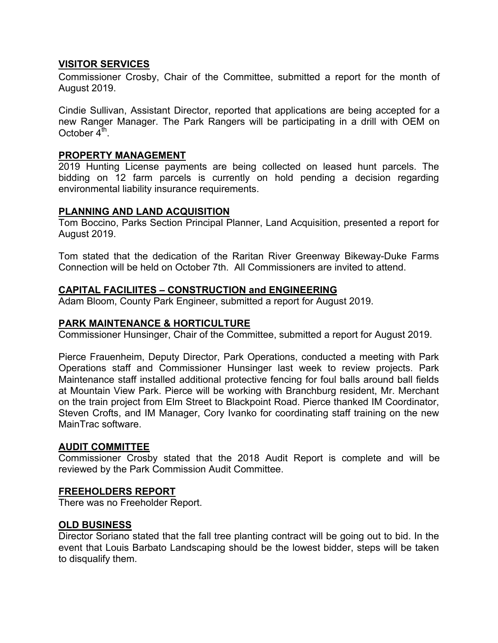### **VISITOR SERVICES**

Commissioner Crosby, Chair of the Committee, submitted a report for the month of August 2019.

Cindie Sullivan, Assistant Director, reported that applications are being accepted for a new Ranger Manager. The Park Rangers will be participating in a drill with OEM on October  $4<sup>th</sup>$ .

# **PROPERTY MANAGEMENT**

2019 Hunting License payments are being collected on leased hunt parcels. The bidding on 12 farm parcels is currently on hold pending a decision regarding environmental liability insurance requirements.

# **PLANNING AND LAND ACQUISITION**

Tom Boccino, Parks Section Principal Planner, Land Acquisition, presented a report for August 2019.

Tom stated that the dedication of the Raritan River Greenway Bikeway-Duke Farms Connection will be held on October 7th. All Commissioners are invited to attend.

# **CAPITAL FACILIITES – CONSTRUCTION and ENGINEERING**

Adam Bloom, County Park Engineer, submitted a report for August 2019.

### **PARK MAINTENANCE & HORTICULTURE**

Commissioner Hunsinger, Chair of the Committee, submitted a report for August 2019.

Pierce Frauenheim, Deputy Director, Park Operations, conducted a meeting with Park Operations staff and Commissioner Hunsinger last week to review projects. Park Maintenance staff installed additional protective fencing for foul balls around ball fields at Mountain View Park. Pierce will be working with Branchburg resident, Mr. Merchant on the train project from Elm Street to Blackpoint Road. Pierce thanked IM Coordinator, Steven Crofts, and IM Manager, Cory Ivanko for coordinating staff training on the new MainTrac software.

### **AUDIT COMMITTEE**

Commissioner Crosby stated that the 2018 Audit Report is complete and will be reviewed by the Park Commission Audit Committee.

### **FREEHOLDERS REPORT**

There was no Freeholder Report.

### **OLD BUSINESS**

Director Soriano stated that the fall tree planting contract will be going out to bid. In the event that Louis Barbato Landscaping should be the lowest bidder, steps will be taken to disqualify them.